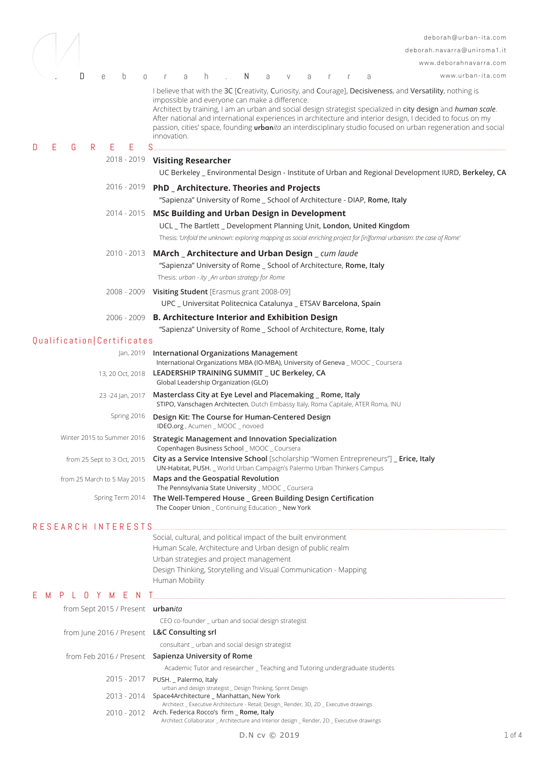|                                                    | deborah@urban-ita.com                                                                                                                                                                                                                                                                                                                                                                                                                                                                                                               |            |
|----------------------------------------------------|-------------------------------------------------------------------------------------------------------------------------------------------------------------------------------------------------------------------------------------------------------------------------------------------------------------------------------------------------------------------------------------------------------------------------------------------------------------------------------------------------------------------------------------|------------|
|                                                    | deborah.navarra@uniroma1.it                                                                                                                                                                                                                                                                                                                                                                                                                                                                                                         |            |
|                                                    | www.deborahnavarra.com                                                                                                                                                                                                                                                                                                                                                                                                                                                                                                              |            |
| D<br>b<br>e<br>$\circ$                             | N<br>www.urban-ita.com<br>h.<br>a<br>a<br>V<br>a<br>a<br>-r                                                                                                                                                                                                                                                                                                                                                                                                                                                                         |            |
|                                                    | I believe that with the 3C [Creativity, Curiosity, and Courage], Decisiveness, and Versatility, nothing is<br>impossible and everyone can make a difference.<br>Architect by training, I am an urban and social design strategist specialized in city design and human scale.<br>After national and international experiences in architecture and interior design, I decided to focus on my<br>passion, cities' space, founding <i>urbanita</i> an interdisciplinary studio focused on urban regeneration and social<br>innovation. |            |
| Е<br>Е<br>D<br>G<br>R.<br>Е                        | S                                                                                                                                                                                                                                                                                                                                                                                                                                                                                                                                   |            |
|                                                    | 2018 - 2019 Visiting Researcher<br>UC Berkeley _ Environmental Design - Institute of Urban and Regional Development IURD, Berkeley, CA                                                                                                                                                                                                                                                                                                                                                                                              |            |
| 2016 - 2019                                        | <b>PhD</b> Architecture. Theories and Projects<br>"Sapienza" University of Rome _ School of Architecture - DIAP, Rome, Italy                                                                                                                                                                                                                                                                                                                                                                                                        |            |
| 2014 - 2015                                        | <b>MSc Building and Urban Design in Development</b><br>UCL _ The Bartlett _ Development Planning Unit, London, United Kingdom<br>Thesis: 'Unfold the unknown: exploring mapping as social enriching project for [in]formal urbanism: the case of Rome'                                                                                                                                                                                                                                                                              |            |
| 2010 - 2013                                        | MArch _ Architecture and Urban Design _ cum laude<br>"Sapienza" University of Rome _ School of Architecture, Rome, Italy<br>Thesis: urban - ity_An urban strategy for Rome                                                                                                                                                                                                                                                                                                                                                          |            |
| 2008 - 2009                                        | Visiting Student [Erasmus grant 2008-09]<br>UPC _ Universitat Politecnica Catalunya _ ETSAV Barcelona, Spain                                                                                                                                                                                                                                                                                                                                                                                                                        |            |
| 2006 - 2009                                        | <b>B. Architecture Interior and Exhibition Design</b>                                                                                                                                                                                                                                                                                                                                                                                                                                                                               |            |
|                                                    | "Sapienza" University of Rome _ School of Architecture, Rome, Italy                                                                                                                                                                                                                                                                                                                                                                                                                                                                 |            |
| Qualification   Certificates                       |                                                                                                                                                                                                                                                                                                                                                                                                                                                                                                                                     |            |
| Jan, 2019                                          | International Organizations Management                                                                                                                                                                                                                                                                                                                                                                                                                                                                                              |            |
| 13, 20 Oct, 2018                                   | International Organizations MBA (IO-MBA), University of Geneva _ MOOC _ Coursera<br>LEADERSHIP TRAINING SUMMIT _ UC Berkeley, CA<br>Global Leadership Organization (GLO)                                                                                                                                                                                                                                                                                                                                                            |            |
| 23 -24 Jan, 2017                                   | Masterclass City at Eye Level and Placemaking _ Rome, Italy<br>STIPO, Vanschagen Architecten, Dutch Embassy Italy, Roma Capitale, ATER Roma, INU                                                                                                                                                                                                                                                                                                                                                                                    |            |
| Spring 2016                                        | Design Kit: The Course for Human-Centered Design<br>IDEO.org, Acumen _ MOOC _ novoed                                                                                                                                                                                                                                                                                                                                                                                                                                                |            |
|                                                    | Winter 2015 to Summer 2016 Strategic Management and Innovation Specialization<br>Copenhagen Business School _ MOOC _ Coursera                                                                                                                                                                                                                                                                                                                                                                                                       |            |
| from 25 Sept to 3 Oct, 2015                        | City as a Service Intensive School [scholarship "Women Entrepreneurs"] _ Erice, Italy<br>UN-Habitat, PUSH. _ World Urban Campaign's Palermo Urban Thinkers Campus                                                                                                                                                                                                                                                                                                                                                                   |            |
| from 25 March to 5 May 2015                        | Maps and the Geospatial Revolution<br>The Pennsylvania State University _ MOOC _ Coursera                                                                                                                                                                                                                                                                                                                                                                                                                                           |            |
| Spring Term 2014                                   | The Well-Tempered House _ Green Building Design Certification<br>The Cooper Union _ Continuing Education _ New York                                                                                                                                                                                                                                                                                                                                                                                                                 |            |
| RESEARCH INTERESTS                                 |                                                                                                                                                                                                                                                                                                                                                                                                                                                                                                                                     |            |
|                                                    | Social, cultural, and political impact of the built environment<br>Human Scale, Architecture and Urban design of public realm<br>Urban strategies and project management<br>Design Thinking, Storytelling and Visual Communication - Mapping<br>Human Mobility                                                                                                                                                                                                                                                                      |            |
| E.<br>$\Box$<br>M<br>P<br>Y M<br>Е<br>$\mathbf{L}$ |                                                                                                                                                                                                                                                                                                                                                                                                                                                                                                                                     |            |
| from Sept 2015 / Present urbanita                  | CEO co-founder _ urban and social design strategist                                                                                                                                                                                                                                                                                                                                                                                                                                                                                 |            |
| from June 2016 / Present L&C Consulting srl        | consultant _ urban and social design strategist                                                                                                                                                                                                                                                                                                                                                                                                                                                                                     |            |
|                                                    | from Feb 2016 / Present Sapienza University of Rome                                                                                                                                                                                                                                                                                                                                                                                                                                                                                 |            |
|                                                    | Academic Tutor and researcher _ Teaching and Tutoring undergraduate students                                                                                                                                                                                                                                                                                                                                                                                                                                                        |            |
| 2015 - 2017                                        | PUSH. _ Palermo, Italy                                                                                                                                                                                                                                                                                                                                                                                                                                                                                                              |            |
|                                                    | urban and design strategist _ Design Thinking, Sprint Design<br>2013 - 2014 Space4Architecture _ Manhattan, New York                                                                                                                                                                                                                                                                                                                                                                                                                |            |
|                                                    | Architect _ Executive Architecture - Retail; Design_ Render, 3D, 2D _ Executive drawings<br>2010 - 2012 Arch. Federica Rocco's firm _ Rome, Italy<br>Architect Collaborator _ Architecture and Interior design _ Render, 2D _ Executive drawings                                                                                                                                                                                                                                                                                    |            |
|                                                    | D.N cv © 2019                                                                                                                                                                                                                                                                                                                                                                                                                                                                                                                       | $1$ of $4$ |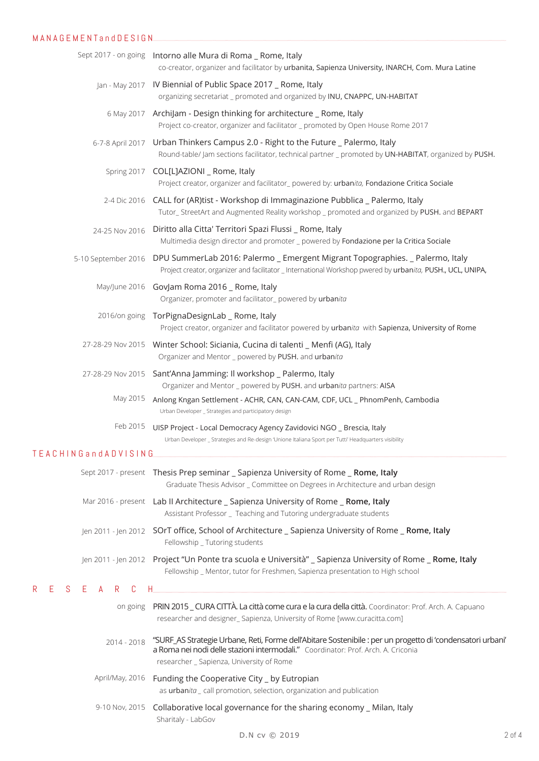| MANAGEMENTandDESIGN.                         |                                                                                                                                                                                                                                              |
|----------------------------------------------|----------------------------------------------------------------------------------------------------------------------------------------------------------------------------------------------------------------------------------------------|
|                                              | Sept 2017 - on going Intorno alle Mura di Roma _ Rome, Italy<br>co-creator, organizer and facilitator by urbanita, Sapienza University, INARCH, Com. Mura Latine                                                                             |
|                                              | Jan - May 2017    IV Biennial of Public Space 2017 _ Rome, Italy<br>organizing secretariat _ promoted and organized by INU, CNAPPC, UN-HABITAT                                                                                               |
|                                              | 6 May 2017 ArchiJam - Design thinking for architecture _ Rome, Italy<br>Project co-creator, organizer and facilitator _ promoted by Open House Rome 2017                                                                                     |
|                                              | 6-7-8 April 2017 Urban Thinkers Campus 2.0 - Right to the Future _ Palermo, Italy<br>Round-table/ Jam sections facilitator, technical partner _ promoted by UN-HABITAT, organized by PUSH.                                                   |
|                                              | Spring 2017 COL[L]AZIONI _ Rome, Italy<br>Project creator, organizer and facilitator_powered by: urbanita, Fondazione Critica Sociale                                                                                                        |
|                                              | 2-4 Dic 2016 CALL for (AR)tist - Workshop di Immaginazione Pubblica _ Palermo, Italy<br>Tutor_StreetArt and Augmented Reality workshop _ promoted and organized by PUSH. and BEPART                                                          |
| 24-25 Nov 2016                               | Diritto alla Citta' Territori Spazi Flussi _ Rome, Italy<br>Multimedia design director and promoter _ powered by Fondazione per la Critica Sociale                                                                                           |
| 5-10 September 2016                          | DPU SummerLab 2016: Palermo _ Emergent Migrant Topographies. _ Palermo, Italy<br>Project creator, organizer and facilitator _ International Workshop pwered by urbanita, PUSH., UCL, UNIPA,                                                  |
|                                              | May/June 2016 GovJam Roma 2016 _ Rome, Italy<br>Organizer, promoter and facilitator_powered by urbanita                                                                                                                                      |
|                                              | 2016/on going TorPignaDesignLab _ Rome, Italy<br>Project creator, organizer and facilitator powered by urbanita with Sapienza, University of Rome                                                                                            |
|                                              | 27-28-29 Nov 2015  Winter School: Siciania, Cucina di talenti _ Menfi (AG), Italy<br>Organizer and Mentor _ powered by PUSH. and urbanita                                                                                                    |
|                                              | 27-28-29 Nov 2015 Sant'Anna Jamming: Il workshop _ Palermo, Italy<br>Organizer and Mentor _ powered by PUSH. and urbanita partners: AISA                                                                                                     |
| May 2015                                     | Anlong Kngan Settlement - ACHR, CAN, CAN-CAM, CDF, UCL _ PhnomPenh, Cambodia<br>Urban Developer _ Strategies and participatory design                                                                                                        |
| Feb 2015                                     | UISP Project - Local Democracy Agency Zavidovici NGO _ Brescia, Italy<br>Urban Developer _ Strategies and Re-design 'Unione Italiana Sport per Tutti' Headquarters visibility                                                                |
| TEACHING and ADVISING                        |                                                                                                                                                                                                                                              |
|                                              | Sept 2017 - present Thesis Prep seminar _ Sapienza University of Rome _ Rome, Italy<br>Graduate Thesis Advisor _ Committee on Degrees in Architecture and urban design                                                                       |
|                                              | Mar 2016 - present Lab II Architecture _ Sapienza University of Rome _ Rome, Italy<br>Assistant Professor _ Teaching and Tutoring undergraduate students                                                                                     |
|                                              | Jen 2011 - Jen 2012 SOrT office, School of Architecture _ Sapienza University of Rome _ Rome, Italy<br>Fellowship _ Tutoring students                                                                                                        |
|                                              | Jen 2011 - Jen 2012 Project "Un Ponte tra scuola e Università" _ Sapienza University of Rome _ Rome, Italy<br>Fellowship _ Mentor, tutor for Freshmen, Sapienza presentation to High school                                                  |
| $\mathsf{R}$<br>E.<br>E<br>S.<br>R<br>C<br>A |                                                                                                                                                                                                                                              |
|                                              | on going PRIN 2015 _ CURA CITTÀ. La città come cura e la cura della città. Coordinator: Prof. Arch. A. Capuano<br>researcher and designer_Sapienza, University of Rome [www.curacitta.com]                                                   |
| 2014 - 2018                                  | "SURF_AS Strategie Urbane, Reti, Forme dell'Abitare Sostenibile : per un progetto di 'condensatori urbani'<br>a Roma nei nodi delle stazioni intermodali." Coordinator: Prof. Arch. A. Criconia<br>researcher _ Sapienza, University of Rome |
|                                              | April/May, 2016 Funding the Cooperative City _ by Eutropian<br>as urbanita_call promotion, selection, organization and publication                                                                                                           |
|                                              | 9-10 Nov, 2015 Collaborative local governance for the sharing economy _ Milan, Italy<br>Sharitaly - LabGov                                                                                                                                   |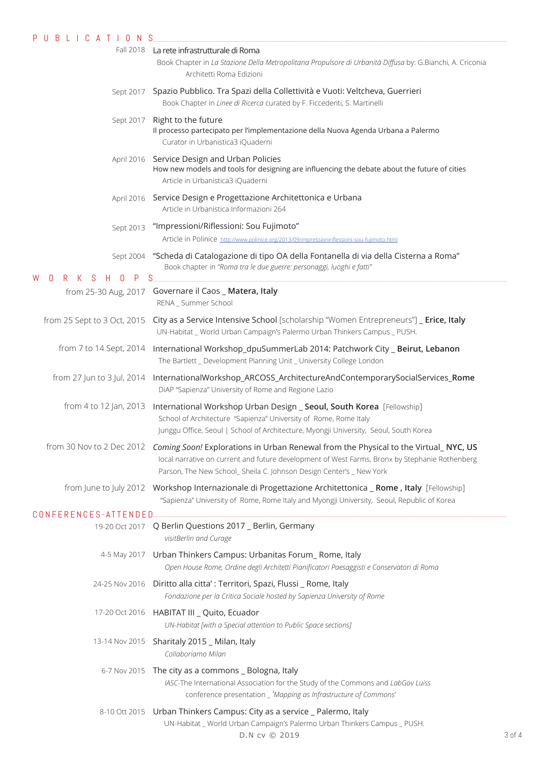| U B L I C A T I O N<br>P.                             | S.                                                                                                                                                                                                                                                                                      |            |
|-------------------------------------------------------|-----------------------------------------------------------------------------------------------------------------------------------------------------------------------------------------------------------------------------------------------------------------------------------------|------------|
|                                                       | Fall 2018 La rete infrastrutturale di Roma<br>Book Chapter in La Stazione Della Metropolitana Propulsore di Urbanità Diffusa by: G.Bianchi, A. Criconia<br>Architetti Roma Edizioni                                                                                                     |            |
|                                                       | Sept 2017 Spazio Pubblico. Tra Spazi della Collettività e Vuoti: Veltcheva, Guerrieri<br>Book Chapter in Linee di Ricerca curated by F. Ficcedenti, S. Martinelli                                                                                                                       |            |
| Sept 2017                                             | Right to the future<br>Il processo partecipato per l'implementazione della Nuova Agenda Urbana a Palermo<br>Curator in Urbanistica3 iQuaderni                                                                                                                                           |            |
|                                                       | April 2016 Service Design and Urban Policies<br>How new models and tools for designing are influencing the debate about the future of cities<br>Article in Urbanistica3 iQuaderni                                                                                                       |            |
|                                                       | April 2016 Service Design e Progettazione Architettonica e Urbana<br>Article in Urbanistica Informazioni 264                                                                                                                                                                            |            |
| Sept 2013                                             | "Impressioni/Riflessioni: Sou Fujimoto"                                                                                                                                                                                                                                                 |            |
|                                                       | Article in Polinice http://www.polinice.org/2013/09/impressioniriflessioni-sou-fujimoto.html                                                                                                                                                                                            |            |
| <sub>S</sub><br>P<br>W<br>0<br>R.<br>K<br>H<br>$\Box$ | Sept 2004 "Scheda di Catalogazione di tipo OA della Fontanella di via della Cisterna a Roma"<br>Book chapter in "Roma tra le due guerre: personaggi, luoghi e fatti"<br>-S                                                                                                              |            |
| from 25-30 Aug, 2017                                  | Governare il Caos _ Matera, Italy<br>RENA _ Summer School                                                                                                                                                                                                                               |            |
| from 25 Sept to 3 Oct, 2015                           | City as a Service Intensive School [scholarship "Women Entrepreneurs"] _ Erice, Italy<br>UN-Habitat _ World Urban Campaign's Palermo Urban Thinkers Campus _ PUSH.                                                                                                                      |            |
| from 7 to 14 Sept, 2014                               | International Workshop_dpuSummerLab 2014: Patchwork City _ Beirut, Lebanon<br>The Bartlett _ Development Planning Unit _ University College London                                                                                                                                      |            |
| from 27 Jun to 3 Jul, 2014                            | InternationalWorkshop_ARCOSS_ArchitectureAndContemporarySocialServices_Rome<br>DiAP "Sapienza" University of Rome and Regione Lazio                                                                                                                                                     |            |
| from 4 to 12 Jan, 2013                                | International Workshop Urban Design _ Seoul, South Korea [Fellowship]<br>School of Architecture "Sapienza" University of Rome, Rome Italy<br>Junggu Office, Seoul   School of Architecture, Myongji University, Seoul, South Korea                                                      |            |
|                                                       | from 30 Nov to 2 Dec 2012 Coming Soon! Explorations in Urban Renewal from the Physical to the Virtual_NYC, US<br>local narrative on current and future development of West Farms, Bronx by Stephanie Rothenberg<br>Parson, The New School_ Sheila C. Johnson Design Center's _ New York |            |
|                                                       | from June to July 2012 Workshop Internazionale di Progettazione Architettonica _ Rome, Italy [Fellowship]<br>"Sapienza" University of Rome, Rome Italy and Myongji University, Seoul, Republic of Korea                                                                                 |            |
| CONFERENCES-ATTENDED.                                 |                                                                                                                                                                                                                                                                                         |            |
|                                                       | 19-20 Oct 2017 Q Berlin Questions 2017 _ Berlin, Germany<br>visitBerlin and Curage                                                                                                                                                                                                      |            |
|                                                       | 4-5 May 2017 Urban Thinkers Campus: Urbanitas Forum_ Rome, Italy<br>Open House Rome, Ordine degli Architetti Pianificatori Paesaggisti e Conservatori di Roma                                                                                                                           |            |
|                                                       | 24-25 Nov 2016  Diritto alla citta': Territori, Spazi, Flussi _ Rome, Italy<br>Fondazione per la Critica Sociale hosted by Sapienza University of Rome                                                                                                                                  |            |
|                                                       | 17-20 Oct 2016 HABITAT III _ Quito, Ecuador<br>UN-Habitat [with a Special attention to Public Space sections]                                                                                                                                                                           |            |
| 13-14 Nov 2015                                        | Sharitaly 2015 _ Milan, Italy<br>Collaboriamo Milan                                                                                                                                                                                                                                     |            |
|                                                       | 6-7 Nov 2015 The city as a commons _ Bologna, Italy<br>IASC-The International Association for the Study of the Commons and LabGov Luiss<br>conference presentation _ 'Mapping as Infrastructure of Commons'                                                                             |            |
|                                                       | 8-10 Ott 2015 Urban Thinkers Campus: City as a service _ Palermo, Italy<br>UN-Habitat _ World Urban Campaign's Palermo Urban Thinkers Campus _ PUSH.<br>D.N cv © 2019                                                                                                                   | $3$ of $4$ |